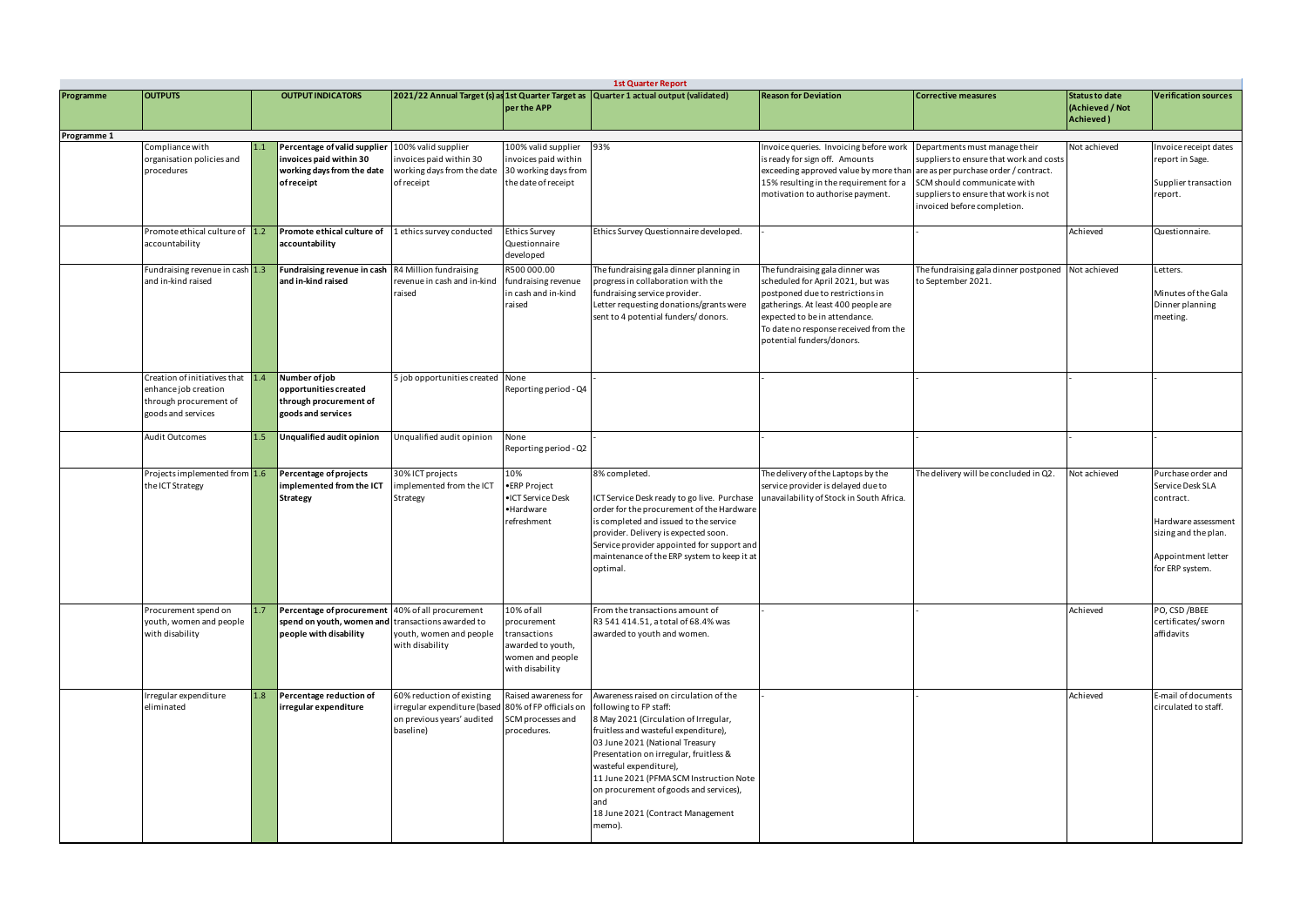|             | <b>1st Quarter Report</b>                                                                                |     |                                                                                                                                 |                                                                                                                             |                                                                                                       |                                                                                                                                                                                                                                                                                                                                                                                                     |                                                                                                                                                                                                                                                        |                                                                                                                                                                                                                         |                                                       |                                                                                                                                             |  |
|-------------|----------------------------------------------------------------------------------------------------------|-----|---------------------------------------------------------------------------------------------------------------------------------|-----------------------------------------------------------------------------------------------------------------------------|-------------------------------------------------------------------------------------------------------|-----------------------------------------------------------------------------------------------------------------------------------------------------------------------------------------------------------------------------------------------------------------------------------------------------------------------------------------------------------------------------------------------------|--------------------------------------------------------------------------------------------------------------------------------------------------------------------------------------------------------------------------------------------------------|-------------------------------------------------------------------------------------------------------------------------------------------------------------------------------------------------------------------------|-------------------------------------------------------|---------------------------------------------------------------------------------------------------------------------------------------------|--|
| Programme   | <b>OUTPUTS</b>                                                                                           |     | <b>OUTPUT INDICATORS</b>                                                                                                        |                                                                                                                             | per the APP                                                                                           | 2021/22 Annual Target (s) as 1st Quarter Target as Quarter 1 actual output (validated)                                                                                                                                                                                                                                                                                                              | <b>Reason for Deviation</b>                                                                                                                                                                                                                            | <b>Corrective measures</b>                                                                                                                                                                                              | <b>Status to date</b><br>(Achieved / Not<br>Achieved) | <b>Verification sources</b>                                                                                                                 |  |
| Programme 1 |                                                                                                          |     |                                                                                                                                 |                                                                                                                             |                                                                                                       |                                                                                                                                                                                                                                                                                                                                                                                                     |                                                                                                                                                                                                                                                        |                                                                                                                                                                                                                         |                                                       |                                                                                                                                             |  |
|             | Compliance with<br>organisation policies and<br>procedures                                               | 1.1 | Percentage of valid supplier<br>invoices paid within 30<br>working days from the date<br>of receipt                             | 100% valid supplier<br>nvoices paid within 30<br>working days from the date<br>of receipt                                   | 100% valid supplier<br>invoices paid within<br>30 working days from<br>the date of receipt            | 93%                                                                                                                                                                                                                                                                                                                                                                                                 | Invoice queries. Invoicing before work<br>is ready for sign off. Amounts<br>exceeding approved value by more than<br>15% resulting in the requirement for a<br>motivation to authorise payment.                                                        | Departments must manage their<br>suppliers to ensure that work and costs<br>are as per purchase order / contract.<br>SCM should communicate with<br>suppliers to ensure that work is not<br>invoiced before completion. | Not achieved                                          | nvoice receipt dates<br>report in Sage.<br>Supplier transaction<br>report.                                                                  |  |
|             | Promote ethical culture of 1.2<br>accountability                                                         |     | Promote ethical culture of<br>accountability                                                                                    | 1 ethics survey conducted                                                                                                   | <b>Ethics Survey</b><br>Questionnaire<br>developed                                                    | Ethics Survey Questionnaire developed.                                                                                                                                                                                                                                                                                                                                                              |                                                                                                                                                                                                                                                        |                                                                                                                                                                                                                         | Achieved                                              | Questionnaire.                                                                                                                              |  |
|             | Fundraising revenue in cash 1.3<br>and in-kind raised                                                    |     | Fundraising revenue in cash<br>and in-kind raised                                                                               | R4 Million fundraising<br>revenue in cash and in-kind<br>raised                                                             | R500000.00<br>fundraising revenue<br>in cash and in-kind<br>raised                                    | The fundraising gala dinner planning in<br>progress in collaboration with the<br>fundraising service provider.<br>Letter requesting donations/grants were<br>sent to 4 potential funders/donors.                                                                                                                                                                                                    | The fundraising gala dinner was<br>scheduled for April 2021, but was<br>postponed due to restrictions in<br>gatherings. At least 400 people are<br>expected to be in attendance.<br>To date no response received from the<br>potential funders/donors. | The fundraising gala dinner postponed Not achieved<br>to September 2021.                                                                                                                                                |                                                       | Letters.<br>Minutes of the Gala<br>Dinner planning<br>meeting.                                                                              |  |
|             | Creation of initiatives that 1.4<br>enhance job creation<br>through procurement of<br>goods and services |     | Number of job<br>opportunities created<br>through procurement of<br>goods and services                                          | 5 job opportunities created None                                                                                            | Reporting period - Q4                                                                                 |                                                                                                                                                                                                                                                                                                                                                                                                     |                                                                                                                                                                                                                                                        |                                                                                                                                                                                                                         |                                                       |                                                                                                                                             |  |
|             | <b>Audit Outcomes</b>                                                                                    | 1.5 | Unqualified audit opinion                                                                                                       | Unqualified audit opinion                                                                                                   | None<br>Reporting period - Q2                                                                         |                                                                                                                                                                                                                                                                                                                                                                                                     |                                                                                                                                                                                                                                                        |                                                                                                                                                                                                                         |                                                       |                                                                                                                                             |  |
|             | Projects implemented from 1.6<br>the ICT Strategy                                                        |     | Percentage of projects<br>implemented from the ICT<br>Strategy                                                                  | 30% ICT projects<br>mplemented from the ICT<br>Strategy                                                                     | 10%<br>·ERP Project<br>•ICT Service Desk<br>•Hardware<br>refreshment                                  | 8% completed.<br>ICT Service Desk ready to go live. Purchase<br>order for the procurement of the Hardware<br>is completed and issued to the service<br>provider. Delivery is expected soon.<br>Service provider appointed for support and<br>maintenance of the ERP system to keep it at<br>optimal.                                                                                                | The delivery of the Laptops by the<br>service provider is delayed due to<br>unavailability of Stock in South Africa.                                                                                                                                   | The delivery will be concluded in Q2                                                                                                                                                                                    | Not achieved                                          | Purchase order and<br>Service Desk SLA<br>contract.<br>Hardware assessment<br>sizing and the plan.<br>Appointment letter<br>for ERP system. |  |
|             | Procurement spend on<br>youth, women and people<br>with disability                                       |     | Percentage of procurement 40% of all procurement<br>spend on youth, women and transactions awarded to<br>people with disability | youth, women and people<br>with disability                                                                                  | 10% of all<br>procurement<br>transactions<br>awarded to youth,<br>women and people<br>with disability | From the transactions amount of<br>R3 541 414.51, a total of 68.4% was<br>awarded to youth and women.                                                                                                                                                                                                                                                                                               |                                                                                                                                                                                                                                                        |                                                                                                                                                                                                                         | Achieved                                              | PO, CSD / BBEE<br>certificates/sworn<br>affidavits                                                                                          |  |
|             | rregular expenditure<br>eliminated                                                                       | 1.8 | Percentage reduction of<br>irregular expenditure                                                                                | 60% reduction of existing<br>irregular expenditure (based 80% of FP officials on<br>on previous years' audited<br>baseline) | Raised awareness for<br>SCM processes and<br>procedures.                                              | Awareness raised on circulation of the<br>following to FP staff:<br>8 May 2021 (Circulation of Irregular,<br>fruitless and wasteful expenditure),<br>03 June 2021 (National Treasury<br>Presentation on irregular, fruitless &<br>wasteful expenditure),<br>11 June 2021 (PFMA SCM Instruction Note<br>on procurement of goods and services),<br>and<br>18 June 2021 (Contract Management<br>memo). |                                                                                                                                                                                                                                                        |                                                                                                                                                                                                                         | Achieved                                              | E-mail of documents<br>circulated to staff.                                                                                                 |  |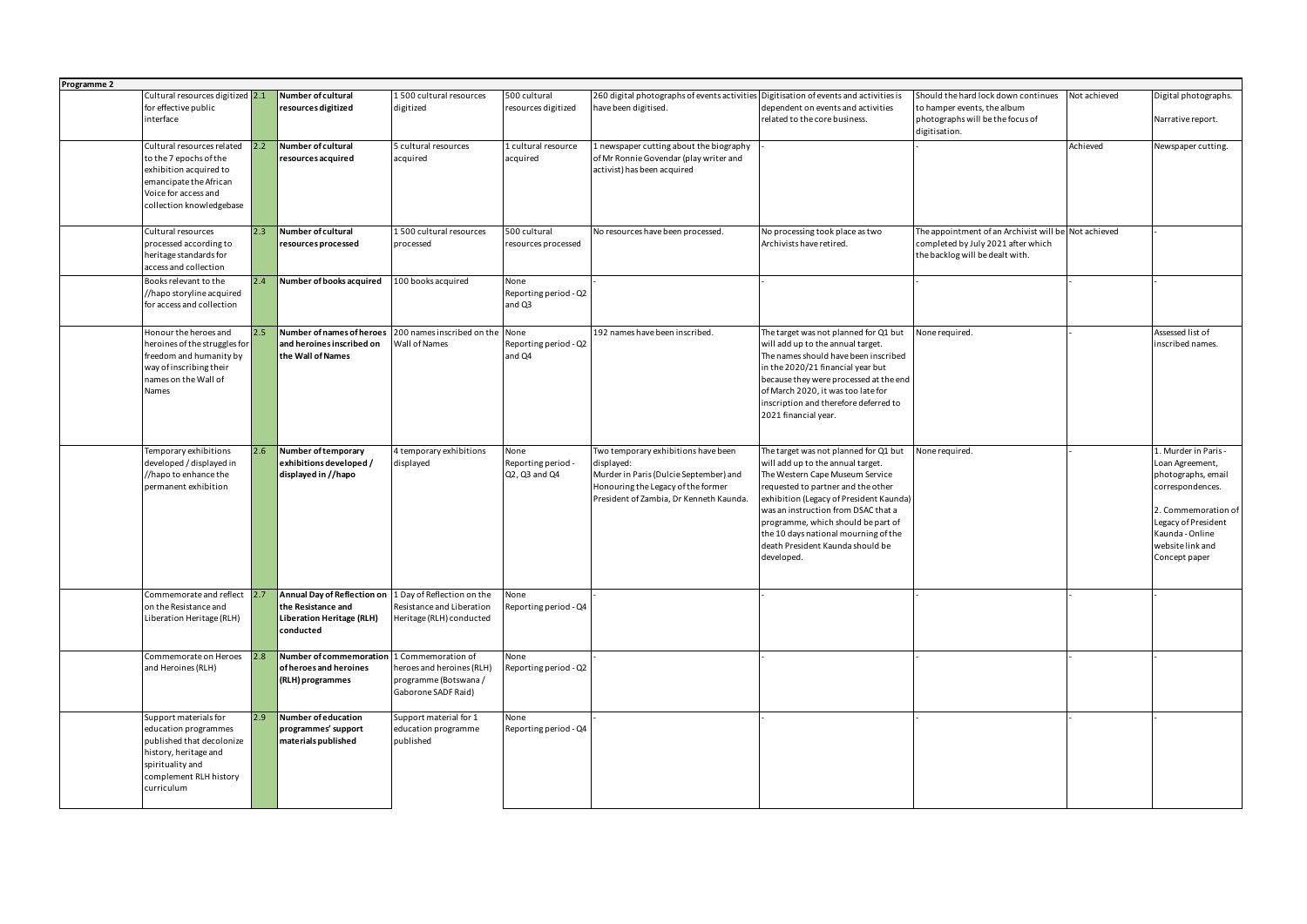| Programme 2 |                                    |     |                                            |                            |                       |                                                                                       |                                         |                                                      |              |                      |
|-------------|------------------------------------|-----|--------------------------------------------|----------------------------|-----------------------|---------------------------------------------------------------------------------------|-----------------------------------------|------------------------------------------------------|--------------|----------------------|
|             | Cultural resources digitized 2.1   |     | Number of cultural                         | 1500 cultural resources    | 500 cultural          | 260 digital photographs of events activities Digitisation of events and activities is |                                         | Should the hard lock down continues                  | Not achieved | Digital photographs. |
|             | for effective public               |     | resources digitized                        | digitized                  | resources digitized   | have been digitised.                                                                  | dependent on events and activities      | to hamper events, the album                          |              |                      |
|             | interface                          |     |                                            |                            |                       |                                                                                       | related to the core business.           | photographs will be the focus of<br>digitisation.    |              | Narrative report.    |
|             | Cultural resources related         |     | Number of cultural                         | 5 cultural resources       | 1 cultural resource   | 1 newspaper cutting about the biography                                               |                                         |                                                      | Achieved     | Newspaper cutting.   |
|             | to the 7 epochs of the             |     | resources acquired                         | acquired                   | acquired              | of Mr Ronnie Govendar (play writer and                                                |                                         |                                                      |              |                      |
|             | exhibition acquired to             |     |                                            |                            |                       | activist) has been acquired                                                           |                                         |                                                      |              |                      |
|             |                                    |     |                                            |                            |                       |                                                                                       |                                         |                                                      |              |                      |
|             | emancipate the African             |     |                                            |                            |                       |                                                                                       |                                         |                                                      |              |                      |
|             | Voice for access and               |     |                                            |                            |                       |                                                                                       |                                         |                                                      |              |                      |
|             | collection knowledgebase           |     |                                            |                            |                       |                                                                                       |                                         |                                                      |              |                      |
|             | Cultural resources                 | 2.3 | Number of cultural                         | 1500 cultural resources    | 500 cultural          | No resources have been processed.                                                     | No processing took place as two         | The appointment of an Archivist will be Not achieved |              |                      |
|             | processed according to             |     | resources processed                        | processed                  | resources processed   |                                                                                       | Archivists have retired.                | completed by July 2021 after which                   |              |                      |
|             | heritage standards for             |     |                                            |                            |                       |                                                                                       |                                         | the backlog will be dealt with.                      |              |                      |
|             | access and collection              |     |                                            |                            |                       |                                                                                       |                                         |                                                      |              |                      |
|             | Books relevant to the              | 2.4 | Number of books acquired                   | 100 books acquired         | None                  |                                                                                       |                                         |                                                      |              |                      |
|             |                                    |     |                                            |                            | Reporting period - Q2 |                                                                                       |                                         |                                                      |              |                      |
|             | //hapo storyline acquired          |     |                                            |                            |                       |                                                                                       |                                         |                                                      |              |                      |
|             | for access and collection          |     |                                            |                            | and Q3                |                                                                                       |                                         |                                                      |              |                      |
|             |                                    |     |                                            |                            |                       |                                                                                       |                                         |                                                      |              |                      |
|             | Honour the heroes and              |     | Number of names of heroes                  | 200 names inscribed on the | None                  | 192 names have been inscribed.                                                        | The target was not planned for Q1 but   | None required.                                       |              | Assessed list of     |
|             | heroines of the struggles for      |     | and heroines inscribed on                  | Wall of Names              | Reporting period - Q2 |                                                                                       | will add up to the annual target.       |                                                      |              | inscribed names.     |
|             | freedom and humanity by            |     | the Wall of Names                          |                            | and Q4                |                                                                                       | The names should have been inscribed    |                                                      |              |                      |
|             | way of inscribing their            |     |                                            |                            |                       |                                                                                       | in the 2020/21 financial year but       |                                                      |              |                      |
|             | names on the Wall of               |     |                                            |                            |                       |                                                                                       | because they were processed at the end  |                                                      |              |                      |
|             | Names                              |     |                                            |                            |                       |                                                                                       | of March 2020, it was too late for      |                                                      |              |                      |
|             |                                    |     |                                            |                            |                       |                                                                                       | inscription and therefore deferred to   |                                                      |              |                      |
|             |                                    |     |                                            |                            |                       |                                                                                       |                                         |                                                      |              |                      |
|             |                                    |     |                                            |                            |                       |                                                                                       | 2021 financial year.                    |                                                      |              |                      |
|             |                                    |     |                                            |                            |                       |                                                                                       |                                         |                                                      |              |                      |
|             |                                    |     |                                            |                            |                       |                                                                                       |                                         |                                                      |              |                      |
|             |                                    |     |                                            |                            |                       |                                                                                       |                                         |                                                      |              |                      |
|             | Temporary exhibitions              |     | Number of temporary                        | 4 temporary exhibitions    | None                  | Two temporary exhibitions have been                                                   | The target was not planned for Q1 but   | None required.                                       |              | 1. Murder in Paris - |
|             | developed / displayed in           |     | exhibitions developed /                    | displayed                  | Reporting period -    | displayed:                                                                            | will add up to the annual target.       |                                                      |              | Loan Agreement,      |
|             | //hapo to enhance the              |     | displayed in //hapo                        |                            | Q2, Q3 and Q4         | Murder in Paris (Dulcie September) and                                                | The Western Cape Museum Service         |                                                      |              | photographs, email   |
|             | permanent exhibition               |     |                                            |                            |                       | Honouring the Legacy of the former                                                    | requested to partner and the other      |                                                      |              | correspondences.     |
|             |                                    |     |                                            |                            |                       | President of Zambia, Dr Kenneth Kaunda.                                               | exhibition (Legacy of President Kaunda) |                                                      |              |                      |
|             |                                    |     |                                            |                            |                       |                                                                                       | was an instruction from DSAC that a     |                                                      |              |                      |
|             |                                    |     |                                            |                            |                       |                                                                                       | programme, which should be part of      |                                                      |              | Legacy of President  |
|             |                                    |     |                                            |                            |                       |                                                                                       |                                         |                                                      |              | Kaunda - Online      |
|             |                                    |     |                                            |                            |                       |                                                                                       | the 10 days national mourning of the    |                                                      |              |                      |
|             |                                    |     |                                            |                            |                       |                                                                                       | death President Kaunda should be        |                                                      |              | website link and     |
|             |                                    |     |                                            |                            |                       |                                                                                       | developed.                              |                                                      |              | Concept paper        |
|             |                                    |     |                                            |                            |                       |                                                                                       |                                         |                                                      |              |                      |
|             | Commemorate and reflect $\vert$ 2. |     | <b>Annual Day of Reflection on</b>         | 1 Day of Reflection on the | None                  |                                                                                       |                                         |                                                      |              |                      |
|             | on the Resistance and              |     | the Resistance and                         | Resistance and Liberation  | Reporting period - Q4 |                                                                                       |                                         |                                                      |              |                      |
|             | Liberation Heritage (RLH)          |     | Liberation Heritage (RLH)                  | Heritage (RLH) conducted   |                       |                                                                                       |                                         |                                                      |              |                      |
|             |                                    |     | conducted                                  |                            |                       |                                                                                       |                                         |                                                      |              |                      |
|             |                                    |     |                                            |                            |                       |                                                                                       |                                         |                                                      |              |                      |
|             | Commemorate on Heroes              | 2.8 | Number of commemoration 1 Commemoration of |                            | None                  |                                                                                       |                                         |                                                      |              |                      |
|             | and Heroines (RLH)                 |     | of heroes and heroines                     | heroes and heroines (RLH)  | Reporting period - Q2 |                                                                                       |                                         |                                                      |              |                      |
|             |                                    |     | (RLH) programmes                           | programme (Botswana /      |                       |                                                                                       |                                         |                                                      |              |                      |
|             |                                    |     |                                            | Gaborone SADF Raid)        |                       |                                                                                       |                                         |                                                      |              |                      |
|             |                                    |     |                                            |                            |                       |                                                                                       |                                         |                                                      |              |                      |
|             | Support materials for              | 2.9 | Number of education                        | Support material for 1     | None                  |                                                                                       |                                         |                                                      |              |                      |
|             | education programmes               |     | programmes' support                        | education programme        | Reporting period - Q4 |                                                                                       |                                         |                                                      |              |                      |
|             | published that decolonize          |     | materials published                        | published                  |                       |                                                                                       |                                         |                                                      |              |                      |
|             | history, heritage and              |     |                                            |                            |                       |                                                                                       |                                         |                                                      |              |                      |
|             | spirituality and                   |     |                                            |                            |                       |                                                                                       |                                         |                                                      |              |                      |
|             |                                    |     |                                            |                            |                       |                                                                                       |                                         |                                                      |              |                      |
|             | complement RLH history             |     |                                            |                            |                       |                                                                                       |                                         |                                                      |              |                      |
|             | curriculum                         |     |                                            |                            |                       |                                                                                       |                                         |                                                      |              | 2. Commemoration of  |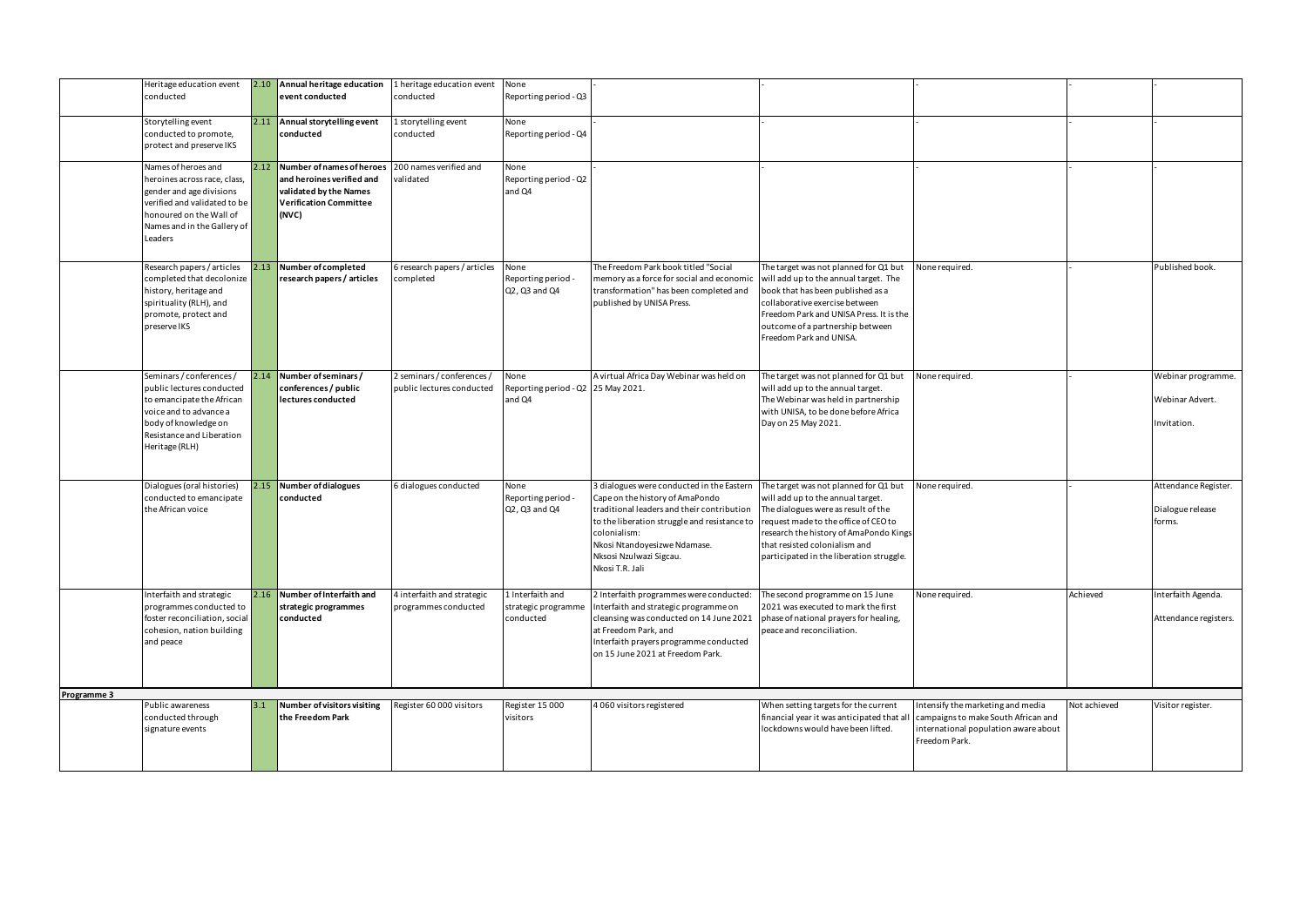|             | Heritage education event<br>conducted                      |     | 2.10 Annual heritage education<br>event conducted       | 1 heritage education event<br>conducted | None<br>Reporting period - Q3                |                                                                                            |                                                                             |                                      |              |                            |
|-------------|------------------------------------------------------------|-----|---------------------------------------------------------|-----------------------------------------|----------------------------------------------|--------------------------------------------------------------------------------------------|-----------------------------------------------------------------------------|--------------------------------------|--------------|----------------------------|
|             |                                                            |     |                                                         |                                         |                                              |                                                                                            |                                                                             |                                      |              |                            |
|             | Storytelling event                                         |     | 2.11 Annual storytelling event                          | L storytelling event                    | None                                         |                                                                                            |                                                                             |                                      |              |                            |
|             | conducted to promote,                                      |     | conducted                                               | conducted                               | Reporting period - Q4                        |                                                                                            |                                                                             |                                      |              |                            |
|             | protect and preserve IKS                                   |     |                                                         |                                         |                                              |                                                                                            |                                                                             |                                      |              |                            |
|             | Names of heroes and                                        |     | 2.12 Number of names of heroes                          | 200 names verified and                  | None                                         |                                                                                            |                                                                             |                                      |              |                            |
|             | heroines across race, class,                               |     | and heroines verified and                               | validated                               | Reporting period - Q2                        |                                                                                            |                                                                             |                                      |              |                            |
|             | gender and age divisions<br>verified and validated to be   |     | validated by the Names<br><b>Verification Committee</b> |                                         | and Q4                                       |                                                                                            |                                                                             |                                      |              |                            |
|             | honoured on the Wall of                                    |     | $\sqrt{(NVC)}$                                          |                                         |                                              |                                                                                            |                                                                             |                                      |              |                            |
|             | Names and in the Gallery of                                |     |                                                         |                                         |                                              |                                                                                            |                                                                             |                                      |              |                            |
|             | Leaders                                                    |     |                                                         |                                         |                                              |                                                                                            |                                                                             |                                      |              |                            |
|             |                                                            |     |                                                         |                                         |                                              |                                                                                            |                                                                             |                                      |              |                            |
|             | Research papers / articles                                 |     | 2.13 Number of completed                                | 6 research papers / articles            | None                                         | The Freedom Park book titled "Social                                                       | The target was not planned for Q1 but                                       | None required.                       |              | Published book.            |
|             | completed that decolonize<br>history, heritage and         |     | research papers / articles                              | completed                               | Reporting period -<br>Q2, Q3 and Q4          | memory as a force for social and economic<br>transformation" has been completed and        | will add up to the annual target. The<br>book that has been published as a  |                                      |              |                            |
|             | spirituality (RLH), and                                    |     |                                                         |                                         |                                              | published by UNISA Press.                                                                  | collaborative exercise between                                              |                                      |              |                            |
|             | promote, protect and                                       |     |                                                         |                                         |                                              |                                                                                            | Freedom Park and UNISA Press. It is the                                     |                                      |              |                            |
|             | preserve IKS                                               |     |                                                         |                                         |                                              |                                                                                            | outcome of a partnership between<br>Freedom Park and UNISA.                 |                                      |              |                            |
|             |                                                            |     |                                                         |                                         |                                              |                                                                                            |                                                                             |                                      |              |                            |
|             |                                                            |     |                                                         |                                         |                                              |                                                                                            |                                                                             |                                      |              |                            |
|             | Seminars / conferences /                                   |     | 2.14 Number of seminars /                               | 2 seminars / conferences /              | None                                         | A virtual Africa Day Webinar was held on                                                   | The target was not planned for Q1 but                                       | None required.                       |              | Webinar programme.         |
|             | public lectures conducted                                  |     | conferences / public                                    | public lectures conducted               | Reporting period - Q2 25 May 2021.<br>and Q4 |                                                                                            | will add up to the annual target.                                           |                                      |              | Webinar Advert.            |
|             | to emancipate the African<br>voice and to advance a        |     | lectures conducted                                      |                                         |                                              |                                                                                            | The Webinar was held in partnership<br>with UNISA, to be done before Africa |                                      |              |                            |
|             | body of knowledge on                                       |     |                                                         |                                         |                                              |                                                                                            | Day on 25 May 2021.                                                         |                                      |              | Invitation.                |
|             | Resistance and Liberation                                  |     |                                                         |                                         |                                              |                                                                                            |                                                                             |                                      |              |                            |
|             | Heritage (RLH)                                             |     |                                                         |                                         |                                              |                                                                                            |                                                                             |                                      |              |                            |
|             |                                                            |     |                                                         |                                         |                                              |                                                                                            |                                                                             |                                      |              |                            |
|             | Dialogues (oral histories)                                 |     | 2.15 Number of dialogues                                | 6 dialogues conducted                   | None                                         | 3 dialogues were conducted in the Eastern                                                  | The target was not planned for Q1 but                                       | None required.                       |              | Attendance Register.       |
|             | conducted to emancipate                                    |     | conducted                                               |                                         | Reporting period -                           | Cape on the history of AmaPondo                                                            | will add up to the annual target.                                           |                                      |              |                            |
|             | the African voice                                          |     |                                                         |                                         | Q2, Q3 and Q4                                | traditional leaders and their contribution<br>to the liberation struggle and resistance to | The dialogues were as result of the<br>request made to the office of CEO to |                                      |              | Dialogue release<br>forms. |
|             |                                                            |     |                                                         |                                         |                                              | colonialism:                                                                               | research the history of AmaPondo Kings                                      |                                      |              |                            |
|             |                                                            |     |                                                         |                                         |                                              | Nkosi Ntandoyesizwe Ndamase.                                                               | that resisted colonialism and                                               |                                      |              |                            |
|             |                                                            |     |                                                         |                                         |                                              | Nksosi Nzulwazi Sigcau.                                                                    | participated in the liberation struggle.                                    |                                      |              |                            |
|             |                                                            |     |                                                         |                                         |                                              | Nkosi T.R. Jali                                                                            |                                                                             |                                      |              |                            |
|             | Interfaith and strategic                                   |     | 2.16 Number of Interfaith and                           | 4 interfaith and strategic              | 1 Interfaith and                             | 2 Interfaith programmes were conducted:                                                    | The second programme on 15 June                                             | None required.                       | Achieved     | Interfaith Agenda.         |
|             | programmes conducted to                                    |     | strategic programmes                                    | programmes conducted                    | strategic programme                          | Interfaith and strategic programme on                                                      | 2021 was executed to mark the first                                         |                                      |              |                            |
|             | foster reconciliation, social<br>cohesion, nation building |     | conducted                                               |                                         | conducted                                    | cleansing was conducted on 14 June 2021<br>at Freedom Park, and                            | phase of national prayers for healing,<br>peace and reconciliation.         |                                      |              | Attendance registers.      |
|             | and peace                                                  |     |                                                         |                                         |                                              | Interfaith prayers programme conducted                                                     |                                                                             |                                      |              |                            |
|             |                                                            |     |                                                         |                                         |                                              | on 15 June 2021 at Freedom Park.                                                           |                                                                             |                                      |              |                            |
|             |                                                            |     |                                                         |                                         |                                              |                                                                                            |                                                                             |                                      |              |                            |
| Programme 3 |                                                            |     |                                                         |                                         |                                              |                                                                                            |                                                                             |                                      |              |                            |
|             | Public awareness                                           | 3.1 | Number of visitors visiting                             | Register 60 000 visitors                | Register 15 000                              | 4 060 visitors registered                                                                  | When setting targets for the current                                        | Intensify the marketing and media    | Not achieved | Visitor register.          |
|             | conducted through                                          |     | the Freedom Park                                        |                                         | visitors                                     |                                                                                            | financial year it was anticipated that all                                  | campaigns to make South African and  |              |                            |
|             | signature events                                           |     |                                                         |                                         |                                              |                                                                                            | lockdowns would have been lifted.                                           | international population aware about |              |                            |
|             |                                                            |     |                                                         |                                         |                                              |                                                                                            |                                                                             | Freedom Park.                        |              |                            |
|             |                                                            |     |                                                         |                                         |                                              |                                                                                            |                                                                             |                                      |              |                            |